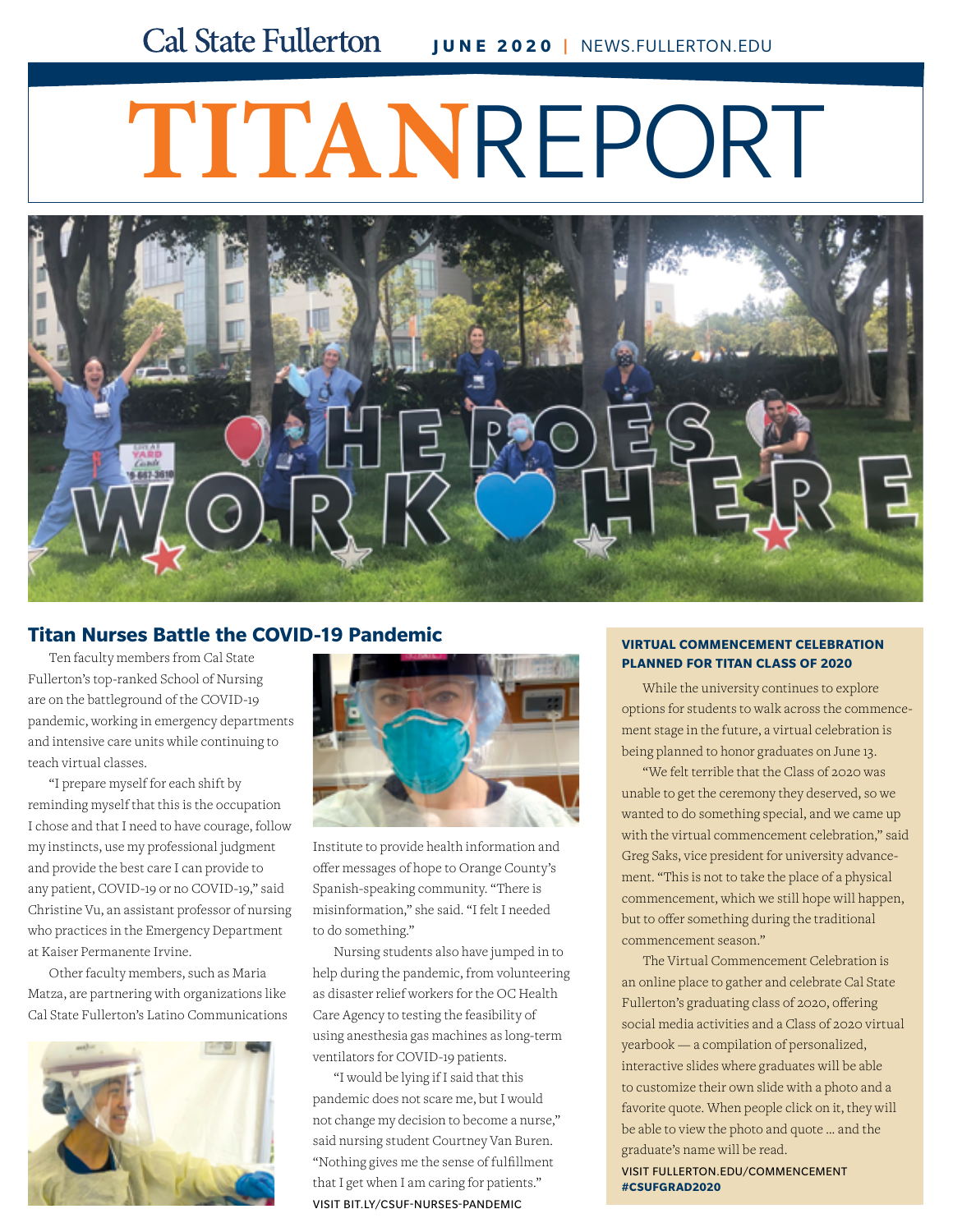# **TITAN**REPORT



## **[Titan Nurses Battle the COVID-19 Pandemic](http://bit.ly/csuf-nurses-pandemic)**

Ten faculty members from Cal State Fullerton's top-ranked School of Nursing are on the battleground of the COVID-19 pandemic, working in emergency departments and intensive care units while continuing to teach virtual classes.

"I prepare myself for each shift by reminding myself that this is the occupation I chose and that I need to have courage, follow my instincts, use my professional judgment and provide the best care I can provide to any patient, COVID-19 or no COVID-19," said Christine Vu, an assistant professor of nursing who practices in the Emergency Department at Kaiser Permanente Irvine.

Other faculty members, such as Maria Matza, are partnering with organizations like Cal State Fullerton's Latino Communications





Institute to provide health information and offer messages of hope to Orange County's Spanish-speaking community. "There is misinformation," she said. "I felt I needed to do something."

Nursing students also have jumped in to help during the pandemic, from volunteering as disaster relief workers for the OC Health Care Agency to testing the feasibility of using anesthesia gas machines as long-term ventilators for COVID-19 patients.

"I would be lying if I said that this pandemic does not scare me, but I would not change my decision to become a nurse," said nursing student Courtney Van Buren. "Nothing gives me the sense of fulfillment that I get when I am caring for patients." VISIT BIT.LY/CSUF-NURSES-PANDEMIC

#### **VIRTUAL COMMENCEMENT CELEBRATION PLANNED FOR TITAN CLASS OF 2020**

While the university continues to explore [options for students to walk across the commence](http://fullerton.edu/commencement)ment stage in the future, a virtual celebration is being planned to honor graduates on June 13.

"We felt terrible that the Class of 2020 was unable to get the ceremony they deserved, so we wanted to do something special, and we came up with the virtual commencement celebration," said Greg Saks, vice president for university advancement. "This is not to take the place of a physical commencement, which we still hope will happen, but to offer something during the traditional commencement season."

The Virtual Commencement Celebration is an online place to gather and celebrate Cal State Fullerton's graduating class of 2020, offering social media activities and a Class of 2020 virtual yearbook — a compilation of personalized, interactive slides where graduates will be able to customize their own slide with a photo and a favorite quote. When people click on it, they will be able to view the photo and quote … and the graduate's name will be read.

VISIT FULLERTON.EDU/COMMENCEMENT **#CSUFGRAD2020**